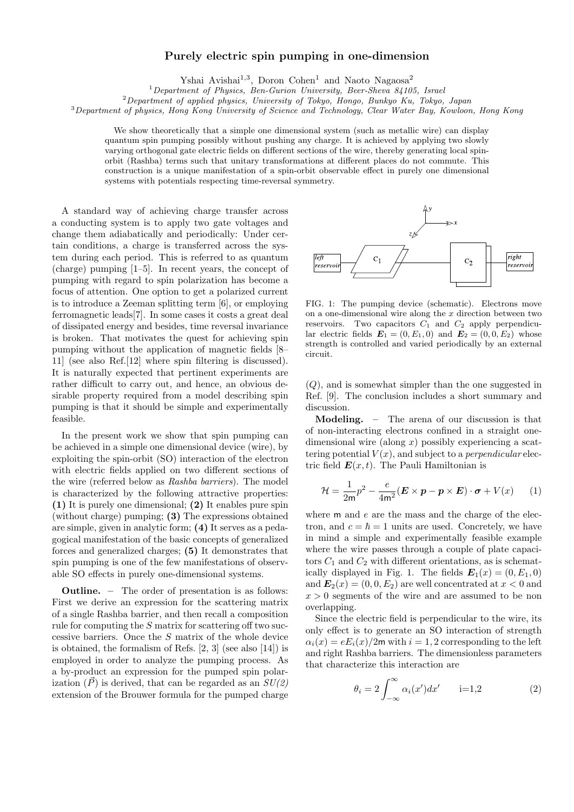## Purely electric spin pumping in one-dimension

Yshai Avishai<sup>1,3</sup>, Doron Cohen<sup>1</sup> and Naoto Nagaosa<sup>2</sup>

 $1$ Department of Physics, Ben-Gurion University, Beer-Sheva 84105, Israel

<sup>2</sup>Department of applied physics, University of Tokyo, Hongo, Bunkyo Ku, Tokyo, Japan

<sup>3</sup>Department of physics, Hong Kong University of Science and Technology, Clear Water Bay, Kowloon, Hong Kong

We show theoretically that a simple one dimensional system (such as metallic wire) can display quantum spin pumping possibly without pushing any charge. It is achieved by applying two slowly varying orthogonal gate electric fields on different sections of the wire, thereby generating local spinorbit (Rashba) terms such that unitary transformations at different places do not commute. This construction is a unique manifestation of a spin-orbit observable effect in purely one dimensional systems with potentials respecting time-reversal symmetry.

A standard way of achieving charge transfer across a conducting system is to apply two gate voltages and change them adiabatically and periodically: Under certain conditions, a charge is transferred across the system during each period. This is referred to as quantum (charge) pumping [1–5]. In recent years, the concept of pumping with regard to spin polarization has become a focus of attention. One option to get a polarized current is to introduce a Zeeman splitting term [6], or employing ferromagnetic leads[7]. In some cases it costs a great deal of dissipated energy and besides, time reversal invariance is broken. That motivates the quest for achieving spin pumping without the application of magnetic fields [8– 11] (see also Ref.[12] where spin filtering is discussed). It is naturally expected that pertinent experiments are rather difficult to carry out, and hence, an obvious desirable property required from a model describing spin pumping is that it should be simple and experimentally feasible.

In the present work we show that spin pumping can be achieved in a simple one dimensional device (wire), by exploiting the spin-orbit (SO) interaction of the electron with electric fields applied on two different sections of the wire (referred below as Rashba barriers). The model is characterized by the following attractive properties: (1) It is purely one dimensional; (2) It enables pure spin (without charge) pumping; (3) The expressions obtained are simple, given in analytic form; (4) It serves as a pedagogical manifestation of the basic concepts of generalized forces and generalized charges; (5) It demonstrates that spin pumping is one of the few manifestations of observable SO effects in purely one-dimensional systems.

Outline. – The order of presentation is as follows: First we derive an expression for the scattering matrix of a single Rashba barrier, and then recall a composition rule for computing the S matrix for scattering off two successive barriers. Once the S matrix of the whole device is obtained, the formalism of Refs. [2, 3] (see also [14]) is employed in order to analyze the pumping process. As a by-product an expression for the pumped spin polarization  $(\vec{P})$  is derived, that can be regarded as an  $SU(2)$ extension of the Brouwer formula for the pumped charge



FIG. 1: The pumping device (schematic). Electrons move on a one-dimensional wire along the  $x$  direction between two reservoirs. Two capacitors  $C_1$  and  $C_2$  apply perpendicular electric fields  $\mathbf{E}_1 = (0, E_1, 0)$  and  $\mathbf{E}_2 = (0, 0, E_2)$  whose strength is controlled and varied periodically by an external circuit.

(Q), and is somewhat simpler than the one suggested in Ref. [9]. The conclusion includes a short summary and discussion.

Modeling. – The arena of our discussion is that of non-interacting electrons confined in a straight onedimensional wire (along  $x$ ) possibly experiencing a scattering potential  $V(x)$ , and subject to a *perpendicular* electric field  $E(x, t)$ . The Pauli Hamiltonian is

$$
\mathcal{H} = \frac{1}{2m}p^2 - \frac{e}{4m^2}(\boldsymbol{E} \times \boldsymbol{p} - \boldsymbol{p} \times \boldsymbol{E}) \cdot \boldsymbol{\sigma} + V(x) \qquad (1)
$$

where  $m$  and  $e$  are the mass and the charge of the electron, and  $c = \hbar = 1$  units are used. Concretely, we have in mind a simple and experimentally feasible example where the wire passes through a couple of plate capacitors  $C_1$  and  $C_2$  with different orientations, as is schematically displayed in Fig. 1. The fields  $\mathbf{E}_1(x) = (0, E_1, 0)$ and  $\mathbf{E}_2(x) = (0, 0, E_2)$  are well concentrated at  $x < 0$  and  $x > 0$  segments of the wire and are assumed to be non overlapping.

Since the electric field is perpendicular to the wire, its only effect is to generate an SO interaction of strength  $\alpha_i(x) = eE_i(x)/2m$  with  $i = 1, 2$  corresponding to the left and right Rashba barriers. The dimensionless parameters that characterize this interaction are

$$
\theta_i = 2 \int_{-\infty}^{\infty} \alpha_i(x') dx' \qquad i=1,2 \tag{2}
$$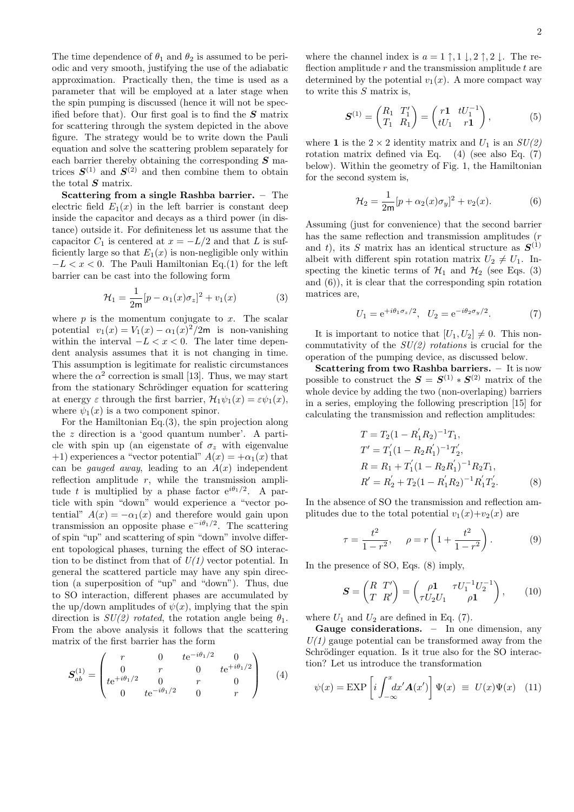The time dependence of  $\theta_1$  and  $\theta_2$  is assumed to be periodic and very smooth, justifying the use of the adiabatic approximation. Practically then, the time is used as a parameter that will be employed at a later stage when the spin pumping is discussed (hence it will not be specified before that). Our first goal is to find the  $S$  matrix for scattering through the system depicted in the above figure. The strategy would be to write down the Pauli equation and solve the scattering problem separately for each barrier thereby obtaining the corresponding  $S$  matrices  $S^{(1)}$  and  $S^{(2)}$  and then combine them to obtain the total  $S$  matrix.

Scattering from a single Rashba barrier. – The electric field  $E_1(x)$  in the left barrier is constant deep inside the capacitor and decays as a third power (in distance) outside it. For definiteness let us assume that the capacitor  $C_1$  is centered at  $x = -L/2$  and that L is sufficiently large so that  $E_1(x)$  is non-negligible only within  $-L < x < 0$ . The Pauli Hamiltonian Eq.(1) for the left barrier can be cast into the following form

$$
\mathcal{H}_1 = \frac{1}{2m} [p - \alpha_1(x)\sigma_z]^2 + v_1(x) \tag{3}
$$

where  $p$  is the momentum conjugate to  $x$ . The scalar potential  $v_1(x) = V_1(x) - \alpha_1(x)^2/2$ m is non-vanishing within the interval  $-L < x < 0$ . The later time dependent analysis assumes that it is not changing in time. This assumption is legitimate for realistic circumstances where the  $\alpha^2$  correction is small [13]. Thus, we may start from the stationary Schrödinger equation for scattering at energy  $\varepsilon$  through the first barrier,  $\mathcal{H}_1\psi_1(x) = \varepsilon\psi_1(x)$ , where  $\psi_1(x)$  is a two component spinor.

For the Hamiltonian Eq.(3), the spin projection along the z direction is a 'good quantum number'. A particle with spin up (an eigenstate of  $\sigma_z$  with eigenvalue +1) experiences a "vector potential"  $A(x) = +\alpha_1(x)$  that can be *gauged away*, leading to an  $A(x)$  independent reflection amplitude  $r$ , while the transmission amplitude t is multiplied by a phase factor  $e^{i\theta_1/2}$ . A particle with spin "down" would experience a "vector potential"  $A(x) = -\alpha_1(x)$  and therefore would gain upon transmission an opposite phase  $e^{-i\theta_1/2}$ . The scattering of spin "up" and scattering of spin "down" involve different topological phases, turning the effect of SO interaction to be distinct from that of  $U(1)$  vector potential. In general the scattered particle may have any spin direction (a superposition of "up" and "down"). Thus, due to SO interaction, different phases are accumulated by the up/down amplitudes of  $\psi(x)$ , implying that the spin direction is  $SU(2)$  rotated, the rotation angle being  $\theta_1$ . From the above analysis it follows that the scattering matrix of the first barrier has the form

$$
\mathbf{S}_{ab}^{(1)} = \begin{pmatrix} r & 0 & t e^{-i\theta_1/2} & 0 \\ 0 & r & 0 & t e^{+i\theta_1/2} \\ t e^{+i\theta_1/2} & 0 & r & 0 \\ 0 & t e^{-i\theta_1/2} & 0 & r \end{pmatrix}
$$
 (4)

where the channel index is  $a = 1 \uparrow, 1 \downarrow, 2 \uparrow, 2 \downarrow$ . The reflection amplitude  $r$  and the transmission amplitude  $t$  are determined by the potential  $v_1(x)$ . A more compact way to write this  $S$  matrix is,

$$
\mathbf{S}^{(1)} = \begin{pmatrix} R_1 & T_1' \\ T_1 & R_1 \end{pmatrix} = \begin{pmatrix} r1 & tU_1^{-1} \\ tU_1 & r1 \end{pmatrix}, \tag{5}
$$

where 1 is the  $2 \times 2$  identity matrix and  $U_1$  is an  $SU(2)$ rotation matrix defined via Eq. (4) (see also Eq. (7) below). Within the geometry of Fig. 1, the Hamiltonian for the second system is,

$$
\mathcal{H}_2 = \frac{1}{2m} [p + \alpha_2(x)\sigma_y]^2 + v_2(x).
$$
 (6)

Assuming (just for convenience) that the second barrier has the same reflection and transmission amplitudes  $(r\,$ and t), its S matrix has an identical structure as  $S^{(1)}$ albeit with different spin rotation matrix  $U_2 \neq U_1$ . Inspecting the kinetic terms of  $\mathcal{H}_1$  and  $\mathcal{H}_2$  (see Eqs. (3) and (6)), it is clear that the corresponding spin rotation matrices are,

$$
U_1 = e^{+i\theta_1 \sigma_z/2}, \quad U_2 = e^{-i\theta_2 \sigma_y/2}.
$$
 (7)

It is important to notice that  $[U_1, U_2] \neq 0$ . This noncommutativity of the  $SU(2)$  rotations is crucial for the operation of the pumping device, as discussed below.

Scattering from two Rashba barriers. - It is now possible to construct the  $S = S^{(1)} * S^{(2)}$  matrix of the whole device by adding the two (non-overlaping) barriers in a series, employing the following prescription [15] for calculating the transmission and reflection amplitudes:

$$
T = T_2(1 - R'_1 R_2)^{-1} T_1,
$$
  
\n
$$
T' = T'_1 (1 - R_2 R'_1)^{-1} T'_2,
$$
  
\n
$$
R = R_1 + T'_1 (1 - R_2 R'_1)^{-1} R_2 T_1,
$$
  
\n
$$
R' = R'_2 + T_2 (1 - R'_1 R_2)^{-1} R'_1 T'_2.
$$
\n(8)

In the absence of SO the transmission and reflection amplitudes due to the total potential  $v_1(x)+v_2(x)$  are

$$
\tau = \frac{t^2}{1 - r^2}, \quad \rho = r \left( 1 + \frac{t^2}{1 - r^2} \right). \tag{9}
$$

In the presence of SO, Eqs. (8) imply,

$$
\boldsymbol{S} = \begin{pmatrix} R & T' \\ T & R' \end{pmatrix} = \begin{pmatrix} \rho \mathbf{1} & \tau U_1^{-1} U_2^{-1} \\ \tau U_2 U_1 & \rho \mathbf{1} \end{pmatrix}, \qquad (10)
$$

where  $U_1$  and  $U_2$  are defined in Eq. (7).

Gauge considerations. – In one dimension, any  $U(1)$  gauge potential can be transformed away from the Schrödinger equation. Is it true also for the SO interaction? Let us introduce the transformation

$$
\psi(x) = \text{EXP}\left[i \int_{-\infty}^{x} dx' \mathbf{A}(x')\right] \Psi(x) \equiv U(x) \Psi(x) \quad (11)
$$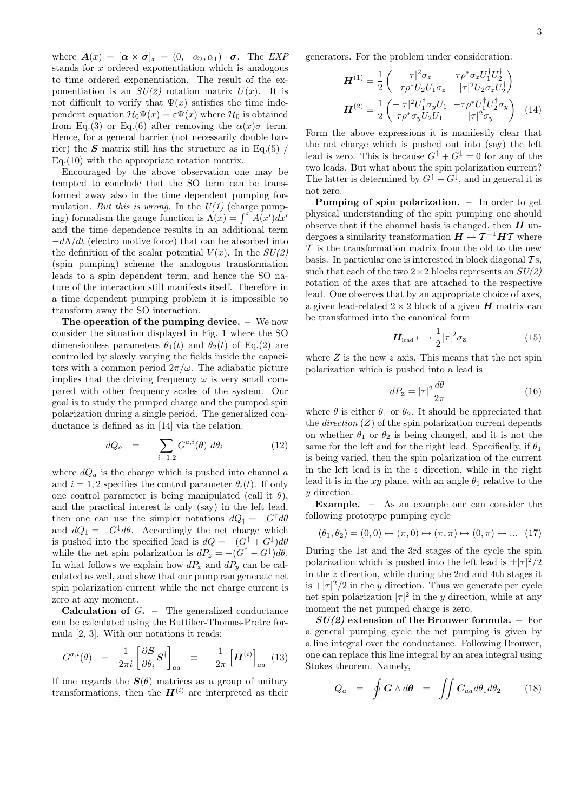where  $\mathbf{A}(x) = [\boldsymbol{\alpha} \times \boldsymbol{\sigma}]_x = (0, -\alpha_2, \alpha_1) \cdot \boldsymbol{\sigma}$ . The EXP stands for x ordered exponentiation which is analogous to time ordered exponentiation. The result of the exponentiation is an  $SU(2)$  rotation matrix  $U(x)$ . It is not difficult to verify that  $\Psi(x)$  satisfies the time independent equation  $\mathcal{H}_0\Psi(x) = \varepsilon \Psi(x)$  where  $\mathcal{H}_0$  is obtained from Eq.(3) or Eq.(6) after removing the  $\alpha(x)\sigma$  term. Hence, for a general barrier (not necessarily double barrier) the  $S$  matrix still has the structure as in Eq.(5) / Eq.(10) with the appropriate rotation matrix.

Encouraged by the above observation one may be tempted to conclude that the SO term can be transformed away also in the time dependent pumping formulation. But this is wrong. In the  $U(1)$  (charge pumping) formalism the gauge function is  $\Lambda(x) = \int^x A(x')dx'$ and the time dependence results in an additional term  $-d\Lambda/dt$  (electro motive force) that can be absorbed into the definition of the scalar potential  $V(x)$ . In the  $SU(2)$ (spin pumping) scheme the analogous transformation leads to a spin dependent term, and hence the SO nature of the interaction still manifests itself. Therefore in a time dependent pumping problem it is impossible to transform away the SO interaction.

The operation of the pumping device. – We now consider the situation displayed in Fig. 1 where the SO dimensionless parameters  $\theta_1(t)$  and  $\theta_2(t)$  of Eq.(2) are controlled by slowly varying the fields inside the capacitors with a common period  $2\pi/\omega$ . The adiabatic picture implies that the driving frequency  $\omega$  is very small compared with other frequency scales of the system. Our goal is to study the pumped charge and the pumped spin polarization during a single period. The generalized conductance is defined as in [14] via the relation:

$$
dQ_a = -\sum_{i=1,2} G^{a,i}(\theta) d\theta_i \qquad (12)
$$

where  $dQ_a$  is the charge which is pushed into channel a and  $i = 1, 2$  specifies the control parameter  $\theta_i(t)$ . If only one control parameter is being manipulated (call it  $\theta$ ), and the practical interest is only (say) in the left lead, then one can use the simpler notations  $dQ_{\uparrow} = -G^{\uparrow} d\theta$ and  $dQ_{\downarrow} = -G^{\downarrow} d\theta$ . Accordingly the net charge which is pushed into the specified lead is  $dQ = -(G^{\dagger} + G^{\dagger})d\theta$ while the net spin polarization is  $dP_z = -(G^{\dagger} - G^{\dagger})d\theta$ . In what follows we explain how  $dP_x$  and  $dP_y$  can be calculated as well, and show that our pump can generate net spin polarization current while the net charge current is zero at any moment.

**Calculation of**  $G$ **.** – The generalized conductance can be calculated using the Buttiker-Thomas-Pretre formula [2, 3]. With our notations it reads:

$$
G^{a,i}(\theta) = \frac{1}{2\pi i} \left[ \frac{\partial \mathbf{S}}{\partial \theta_i} \mathbf{S}^\dagger \right]_{aa} \equiv -\frac{1}{2\pi} \left[ \mathbf{H}^{(i)} \right]_{aa} (13)
$$

If one regards the  $S(\theta)$  matrices as a group of unitary transformations, then the  $\mathbf{H}^{(i)}$  are interpreted as their generators. For the problem under consideration:

$$
\mathbf{H}^{(1)} = \frac{1}{2} \begin{pmatrix} |\tau|^2 \sigma_z & \tau \rho^* \sigma_z U_1^\dagger U_2^\dagger \\ -\tau \rho^* U_2 U_1 \sigma_z & -|\tau|^2 U_2 \sigma_z U_2^\dagger \end{pmatrix}
$$

$$
\mathbf{H}^{(2)} = \frac{1}{2} \begin{pmatrix} -|\tau|^2 U_1^\dagger \sigma_y U_1 & -\tau \rho^* U_1^\dagger U_2^\dagger \sigma_y \\ \tau \rho^* \sigma_y U_2 U_1 & |\tau|^2 \sigma_y \end{pmatrix} \quad (14)
$$

Form the above expressions it is manifestly clear that the net charge which is pushed out into (say) the left lead is zero. This is because  $G^{\uparrow} + G^{\downarrow} = 0$  for any of the two leads. But what about the spin polarization current? The latter is determined by  $G^{\uparrow} - G^{\downarrow}$ , and in general it is not zero.

Pumping of spin polarization. – In order to get physical understanding of the spin pumping one should observe that if the channel basis is changed, then  $H$  undergoes a similarity transformation  $\pmb{H} \mapsto \mathcal{T}^{-1}\pmb{H}\mathcal{T}$  where  $\mathcal T$  is the transformation matrix from the old to the new basis. In particular one is interested in block diagonal  $\mathcal{T}_{S}$ , such that each of the two  $2 \times 2$  blocks represents an  $SU(2)$ rotation of the axes that are attached to the respective lead. One observes that by an appropriate choice of axes, a given lead-related  $2 \times 2$  block of a given  $H$  matrix can be transformed into the canonical form

$$
H_{\text{lead}} \longmapsto \frac{1}{2} |\tau|^2 \sigma_z \tag{15}
$$

where  $Z$  is the new  $z$  axis. This means that the net spin polarization which is pushed into a lead is

$$
dP_{\rm z} = |\tau|^2 \frac{d\theta}{2\pi} \tag{16}
$$

where  $\theta$  is either  $\theta_1$  or  $\theta_2$ . It should be appreciated that the *direction*  $(Z)$  of the spin polarization current depends on whether  $\theta_1$  or  $\theta_2$  is being changed, and it is not the same for the left and for the right lead. Specifically, if  $\theta_1$ is being varied, then the spin polarization of the current in the left lead is in the  $z$  direction, while in the right lead it is in the xy plane, with an angle  $\theta_1$  relative to the y direction.

Example. – As an example one can consider the following prototype pumping cycle

$$
(\theta_1, \theta_2) = (0, 0) \mapsto (\pi, 0) \mapsto (\pi, \pi) \mapsto (0, \pi) \mapsto \dots (17)
$$

During the 1st and the 3rd stages of the cycle the spin polarization which is pushed into the left lead is  $\pm |\tau|^2/2$ in the z direction, while during the 2nd and 4th stages it is  $+|\tau|^2/2$  in the y direction. Thus we generate per cycle net spin polarization  $|\tau|^2$  in the y direction, while at any moment the net pumped charge is zero.

 $SU(2)$  extension of the Brouwer formula. – For a general pumping cycle the net pumping is given by a line integral over the conductance. Following Brouwer, one can replace this line integral by an area integral using Stokes theorem. Namely,

$$
Q_a = \oint \boldsymbol{G} \wedge d\boldsymbol{\theta} = \iint \boldsymbol{C}_{aa} d\theta_1 d\theta_2 \qquad (18)
$$